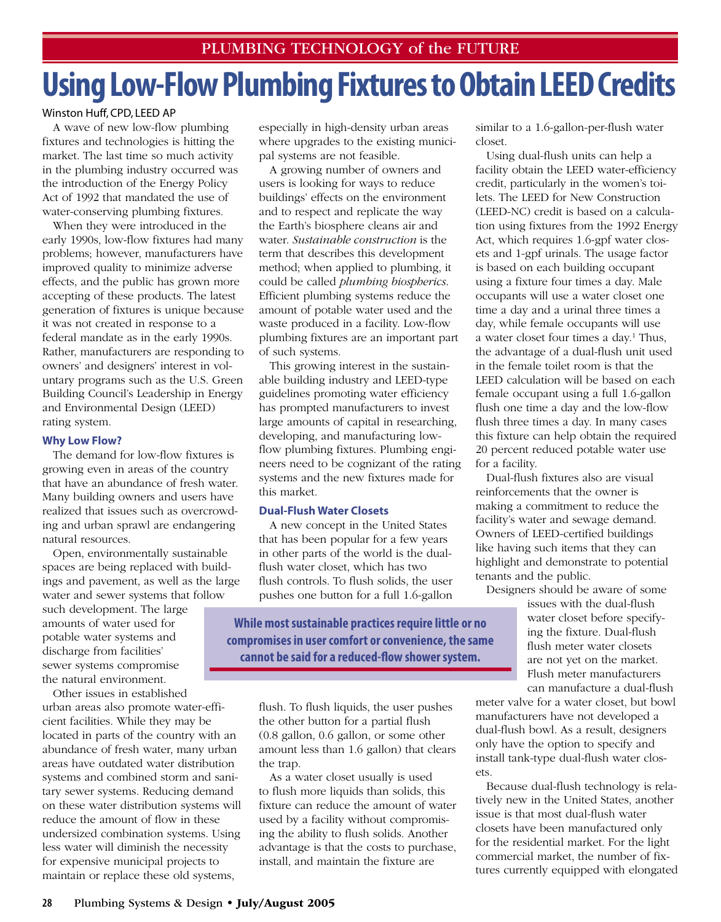## **Using Low-Flow Plumbing Fixtures to Obtain LEED Credits**

## Winston Huff, CPD, LEED AP

A wave of new low-flow plumbing fixtures and technologies is hitting the market. The last time so much activity in the plumbing industry occurred was the introduction of the Energy Policy Act of 1992 that mandated the use of water-conserving plumbing fixtures.

When they were introduced in the early 1990s, low-flow fixtures had many problems; however, manufacturers have improved quality to minimize adverse effects, and the public has grown more accepting of these products. The latest generation of fixtures is unique because it was not created in response to a federal mandate as in the early 1990s. Rather, manufacturers are responding to owners' and designers' interest in voluntary programs such as the U.S. Green Building Council's Leadership in Energy and Environmental Design (LEED) rating system.

## **Why Low Flow?**

The demand for low-flow fixtures is growing even in areas of the country that have an abundance of fresh water. Many building owners and users have realized that issues such as overcrowding and urban sprawl are endangering natural resources.

Open, environmentally sustainable spaces are being replaced with buildings and pavement, as well as the large water and sewer systems that follow

such development. The large amounts of water used for potable water systems and discharge from facilities' sewer systems compromise the natural environment.

Other issues in established urban areas also promote water-efficient facilities. While they may be located in parts of the country with an abundance of fresh water, many urban areas have outdated water distribution systems and combined storm and sanitary sewer systems. Reducing demand on these water distribution systems will reduce the amount of flow in these undersized combination systems. Using less water will diminish the necessity for expensive municipal projects to maintain or replace these old systems,

especially in high-density urban areas where upgrades to the existing municipal systems are not feasible.

A growing number of owners and users is looking for ways to reduce buildings' effects on the environment and to respect and replicate the way the Earth's biosphere cleans air and water. *Sustainable construction* is the term that describes this development method; when applied to plumbing, it could be called *plumbing biospherics*. Efficient plumbing systems reduce the amount of potable water used and the waste produced in a facility. Low-flow plumbing fixtures are an important part of such systems.

This growing interest in the sustainable building industry and LEED-type guidelines promoting water efficiency has prompted manufacturers to invest large amounts of capital in researching, developing, and manufacturing lowflow plumbing fixtures. Plumbing engineers need to be cognizant of the rating systems and the new fixtures made for this market.

## **Dual-Flush Water Closets**

A new concept in the United States that has been popular for a few years in other parts of the world is the dualflush water closet, which has two flush controls. To flush solids, the user pushes one button for a full 1.6-gallon

**While most sustainable practices require little or no compromises in user comfort or convenience, the same cannot be said for a reduced-flow shower system.**

> flush. To flush liquids, the user pushes the other button for a partial flush (0.8 gallon, 0.6 gallon, or some other amount less than 1.6 gallon) that clears the trap.

> As a water closet usually is used to flush more liquids than solids, this fixture can reduce the amount of water used by a facility without compromising the ability to flush solids. Another advantage is that the costs to purchase, install, and maintain the fixture are

similar to a 1.6-gallon-per-flush water closet.

Using dual-flush units can help a facility obtain the LEED water-efficiency credit, particularly in the women's toilets. The LEED for New Construction (LEED-NC) credit is based on a calculation using fixtures from the 1992 Energy Act, which requires 1.6-gpf water closets and 1-gpf urinals. The usage factor is based on each building occupant using a fixture four times a day. Male occupants will use a water closet one time a day and a urinal three times a day, while female occupants will use a water closet four times a day.<sup>1</sup> Thus, the advantage of a dual-flush unit used in the female toilet room is that the LEED calculation will be based on each female occupant using a full 1.6-gallon flush one time a day and the low-flow flush three times a day. In many cases this fixture can help obtain the required 20 percent reduced potable water use for a facility.

Dual-flush fixtures also are visual reinforcements that the owner is making a commitment to reduce the facility's water and sewage demand. Owners of LEED-certified buildings like having such items that they can highlight and demonstrate to potential tenants and the public.

Designers should be aware of some

issues with the dual-flush water closet before specifying the fixture. Dual-flush flush meter water closets are not yet on the market. Flush meter manufacturers can manufacture a dual-flush

meter valve for a water closet, but bowl manufacturers have not developed a dual-flush bowl. As a result, designers only have the option to specify and install tank-type dual-flush water closets.

Because dual-flush technology is relatively new in the United States, another issue is that most dual-flush water closets have been manufactured only for the residential market. For the light commercial market, the number of fixtures currently equipped with elongated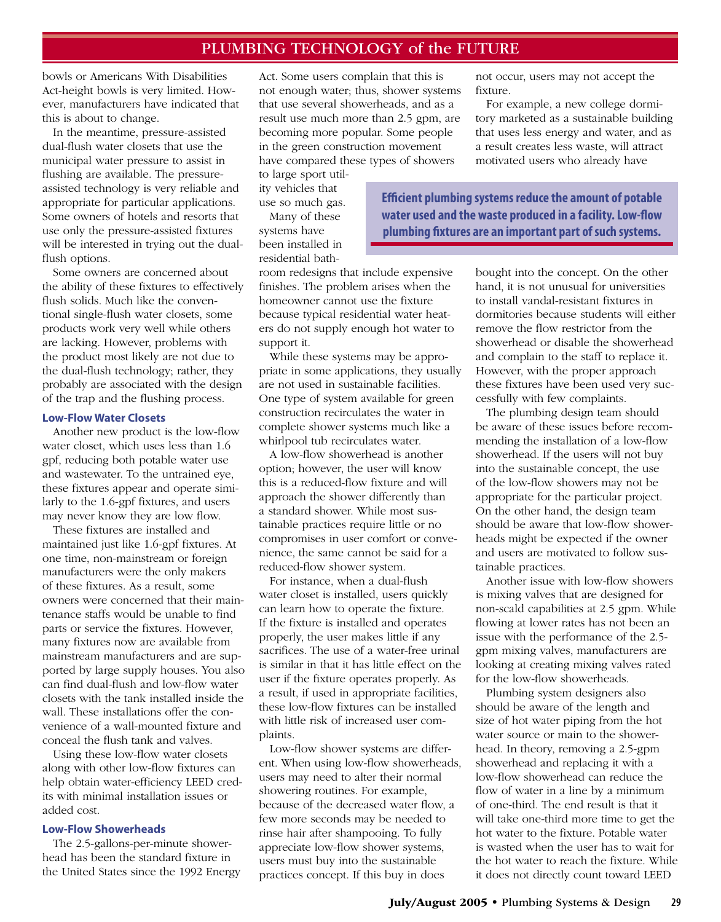## PLUMBING TECHNOLOGY of the FUTURE

bowls or Americans With Disabilities Act-height bowls is very limited. However, manufacturers have indicated that this is about to change.

In the meantime, pressure-assisted dual-flush water closets that use the municipal water pressure to assist in flushing are available. The pressureassisted technology is very reliable and appropriate for particular applications. Some owners of hotels and resorts that use only the pressure-assisted fixtures will be interested in trying out the dualflush options.

Some owners are concerned about the ability of these fixtures to effectively flush solids. Much like the conventional single-flush water closets, some products work very well while others are lacking. However, problems with the product most likely are not due to the dual-flush technology; rather, they probably are associated with the design of the trap and the flushing process.

#### **Low-Flow Water Closets**

Another new product is the low-flow water closet, which uses less than 1.6 gpf, reducing both potable water use and wastewater. To the untrained eye, these fixtures appear and operate similarly to the 1.6-gpf fixtures, and users may never know they are low flow.

These fixtures are installed and maintained just like 1.6-gpf fixtures. At one time, non-mainstream or foreign manufacturers were the only makers of these fixtures. As a result, some owners were concerned that their maintenance staffs would be unable to find parts or service the fixtures. However, many fixtures now are available from mainstream manufacturers and are supported by large supply houses. You also can find dual-flush and low-flow water closets with the tank installed inside the wall. These installations offer the convenience of a wall-mounted fixture and conceal the flush tank and valves.

Using these low-flow water closets along with other low-flow fixtures can help obtain water-efficiency LEED credits with minimal installation issues or added cost.

#### **Low-Flow Showerheads**

The 2.5-gallons-per-minute showerhead has been the standard fixture in the United States since the 1992 Energy Act. Some users complain that this is not enough water; thus, shower systems that use several showerheads, and as a result use much more than 2.5 gpm, are becoming more popular. Some people in the green construction movement have compared these types of showers

to large sport utility vehicles that use so much gas.

Many of these systems have been installed in residential bath-

room redesigns that include expensive finishes. The problem arises when the homeowner cannot use the fixture because typical residential water heaters do not supply enough hot water to support it.

While these systems may be appropriate in some applications, they usually are not used in sustainable facilities. One type of system available for green construction recirculates the water in complete shower systems much like a whirlpool tub recirculates water.

A low-flow showerhead is another option; however, the user will know this is a reduced-flow fixture and will approach the shower differently than a standard shower. While most sustainable practices require little or no compromises in user comfort or convenience, the same cannot be said for a reduced-flow shower system.

For instance, when a dual-flush water closet is installed, users quickly can learn how to operate the fixture. If the fixture is installed and operates properly, the user makes little if any sacrifices. The use of a water-free urinal is similar in that it has little effect on the user if the fixture operates properly. As a result, if used in appropriate facilities, these low-flow fixtures can be installed with little risk of increased user complaints.

Low-flow shower systems are different. When using low-flow showerheads, users may need to alter their normal showering routines. For example, because of the decreased water flow, a few more seconds may be needed to rinse hair after shampooing. To fully appreciate low-flow shower systems, users must buy into the sustainable practices concept. If this buy in does

not occur, users may not accept the fixture.

For example, a new college dormitory marketed as a sustainable building that uses less energy and water, and as a result creates less waste, will attract motivated users who already have

**Efficient plumbing systems reduce the amount of potable water used and the waste produced in a facility. Low-flow plumbing fixtures are an important part of such systems.**

> bought into the concept. On the other hand, it is not unusual for universities to install vandal-resistant fixtures in dormitories because students will either remove the flow restrictor from the showerhead or disable the showerhead and complain to the staff to replace it. However, with the proper approach these fixtures have been used very successfully with few complaints.

> The plumbing design team should be aware of these issues before recommending the installation of a low-flow showerhead. If the users will not buy into the sustainable concept, the use of the low-flow showers may not be appropriate for the particular project. On the other hand, the design team should be aware that low-flow showerheads might be expected if the owner and users are motivated to follow sustainable practices.

Another issue with low-flow showers is mixing valves that are designed for non-scald capabilities at 2.5 gpm. While flowing at lower rates has not been an issue with the performance of the 2.5 gpm mixing valves, manufacturers are looking at creating mixing valves rated for the low-flow showerheads.

Plumbing system designers also should be aware of the length and size of hot water piping from the hot water source or main to the showerhead. In theory, removing a 2.5-gpm showerhead and replacing it with a low-flow showerhead can reduce the flow of water in a line by a minimum of one-third. The end result is that it will take one-third more time to get the hot water to the fixture. Potable water is wasted when the user has to wait for the hot water to reach the fixture. While it does not directly count toward LEED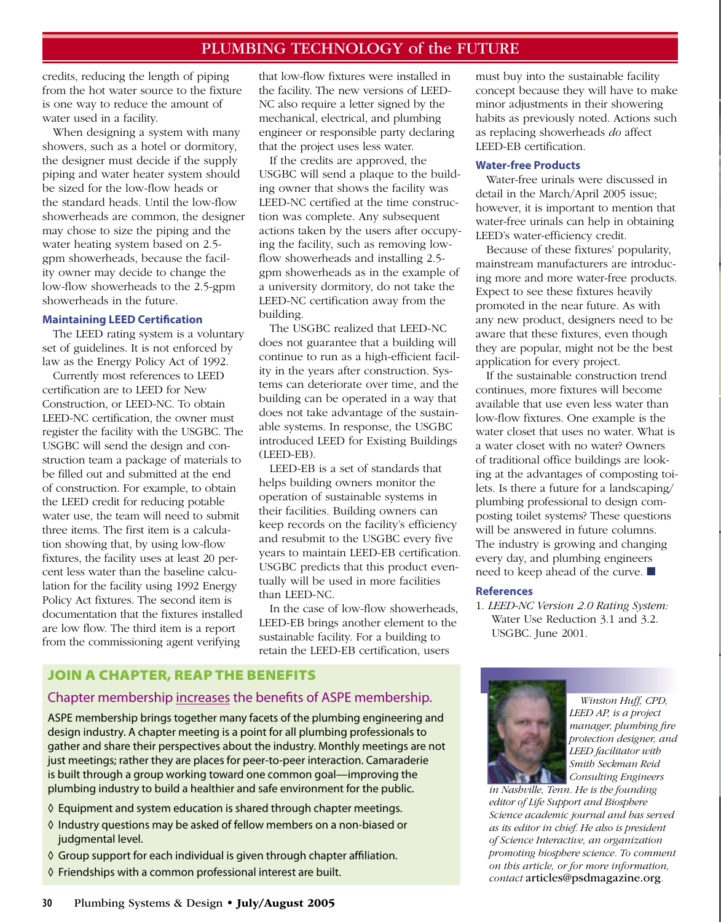## PLUMBING TECHNOLOGY of the FUTURE

credits, reducing the length of piping from the hot water source to the fixture is one way to reduce the amount of water used in a facility.

When designing a system with many showers, such as a hotel or dormitory, the designer must decide if the supply piping and water heater system should be sized for the low-flow heads or the standard heads. Until the low-flow showerheads are common, the designer may chose to size the piping and the water heating system based on 2.5 gpm showerheads, because the facility owner may decide to change the low-flow showerheads to the 2.5-gpm showerheads in the future.

#### **Maintaining LEED Certification**

The LEED rating system is a voluntary set of guidelines. It is not enforced by law as the Energy Policy Act of 1992.

Currently most references to LEED certification are to LEED for New Construction, or LEED-NC. To obtain LEED-NC certification, the owner must register the facility with the USGBC. The USGBC will send the design and construction team a package of materials to be filled out and submitted at the end of construction. For example, to obtain the LEED credit for reducing potable water use, the team will need to submit three items. The first item is a calculation showing that, by using low-flow fixtures, the facility uses at least 20 percent less water than the baseline calculation for the facility using 1992 Energy Policy Act fixtures. The second item is documentation that the fixtures installed are low flow. The third item is a report from the commissioning agent verifying

that low-flow fixtures were installed in the facility. The new versions of LEED-NC also require a letter signed by the mechanical, electrical, and plumbing engineer or responsible party declaring that the project uses less water.

If the credits are approved, the USGBC will send a plaque to the building owner that shows the facility was LEED-NC certified at the time construction was complete. Any subsequent actions taken by the users after occupying the facility, such as removing lowflow showerheads and installing 2.5 gpm showerheads as in the example of a university dormitory, do not take the LEED-NC certification away from the building.

The USGBC realized that LEED-NC does not guarantee that a building will continue to run as a high-efficient facility in the years after construction. Systems can deteriorate over time, and the building can be operated in a way that does not take advantage of the sustainable systems. In response, the USGBC introduced LEED for Existing Buildings (LEED-EB).

LEED-EB is a set of standards that helps building owners monitor the operation of sustainable systems in their facilities. Building owners can keep records on the facility's efficiency and resubmit to the USGBC every five years to maintain LEED-EB certification. USGBC predicts that this product eventually will be used in more facilities than LEED-NC.

In the case of low-flow showerheads, LEED-EB brings another element to the sustainable facility. For a building to retain the LEED-EB certification, users

### JOIN A CHAPTER, REAP THE BENEFITS

## Chapter membership increases the benefits of ASPE membership.

ASPE membership brings together many facets of the plumbing engineering and design industry. A chapter meeting is a point for all plumbing professionals to gather and share their perspectives about the industry. Monthly meetings are not just meetings; rather they are places for peer-to-peer interaction. Camaraderie is built through a group working toward one common goal—improving the plumbing industry to build a healthier and safe environment for the public.

- ◊ Equipment and system education is shared through chapter meetings.
- ◊ Industry questions may be asked of fellow members on a non-biased or judgmental level.
- ◊ Group support for each individual is given through chapter affiliation.
- ◊ Friendships with a common professional interest are built.

must buy into the sustainable facility concept because they will have to make minor adjustments in their showering habits as previously noted. Actions such as replacing showerheads *do* affect LEED-EB certification.

## **Water-free Products**

Water-free urinals were discussed in detail in the March/April 2005 issue; however, it is important to mention that water-free urinals can help in obtaining LEED's water-efficiency credit.

Because of these fixtures' popularity, mainstream manufacturers are introducing more and more water-free products. Expect to see these fixtures heavily promoted in the near future. As with any new product, designers need to be aware that these fixtures, even though they are popular, might not be the best application for every project.

If the sustainable construction trend continues, more fixtures will become available that use even less water than low-flow fixtures. One example is the water closet that uses no water. What is a water closet with no water? Owners of traditional office buildings are looking at the advantages of composting toilets. Is there a future for a landscaping/ plumbing professional to design composting toilet systems? These questions will be answered in future columns. The industry is growing and changing every day, and plumbing engineers need to keep ahead of the curve. ■

#### **References**

1. *LEED-NC Version 2.0 Rating System:*  Water Use Reduction 3.1 and 3.2. USGBC. June 2001.



*Winston Huff, CPD, LEED AP, is a project manager, plumbing fire protection designer, and LEED facilitator with Smith Seckman Reid Consulting Engineers* 

*in Nashville, Tenn. He is the founding editor of Life Support and Biosphere Science academic journal and has served as its editor in chief. He also is president of Science Interactive, an organization promoting biosphere science. To comment on this article, or for more information, contact* articles@psdmagazine.org*.*